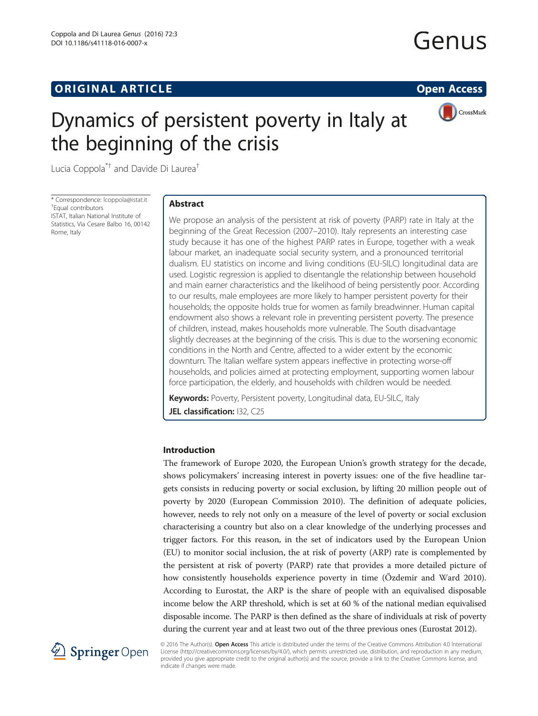### **ORIGINAL ARTICLE CONSUMING A LIGACION** CONSUMING A LIGACION CONSUMING A LIGACION CONSUMING A LIGACION CONSUMING A LIGACION CONSUMING A LIGACION CONSUMING A LIGACION CONSUMING A LIGACION CONSUMING A LIGACION CONSUMING A

# Genus



## Dynamics of persistent poverty in Italy at the beginning of the crisis

Lucia Coppola\*† and Davide Di Laurea†

\* Correspondence: [lcoppola@istat.it](mailto:lcoppola@istat.it) † Equal contributors ISTAT, Italian National Institute of Statistics, Via Cesare Balbo 16, 00142 Rome, Italy

### Abstract

We propose an analysis of the persistent at risk of poverty (PARP) rate in Italy at the beginning of the Great Recession (2007–2010). Italy represents an interesting case study because it has one of the highest PARP rates in Europe, together with a weak labour market, an inadequate social security system, and a pronounced territorial dualism. EU statistics on income and living conditions (EU-SILC) longitudinal data are used. Logistic regression is applied to disentangle the relationship between household and main earner characteristics and the likelihood of being persistently poor. According to our results, male employees are more likely to hamper persistent poverty for their households; the opposite holds true for women as family breadwinner. Human capital endowment also shows a relevant role in preventing persistent poverty. The presence of children, instead, makes households more vulnerable. The South disadvantage slightly decreases at the beginning of the crisis. This is due to the worsening economic conditions in the North and Centre, affected to a wider extent by the economic downturn. The Italian welfare system appears ineffective in protecting worse-off households, and policies aimed at protecting employment, supporting women labour force participation, the elderly, and households with children would be needed.

**Keywords:** Poverty, Persistent poverty, Longitudinal data, EU-SILC, Italy JEL classification: I32, C25

#### Introduction

The framework of Europe 2020, the European Union's growth strategy for the decade, shows policymakers' increasing interest in poverty issues: one of the five headline targets consists in reducing poverty or social exclusion, by lifting 20 million people out of poverty by 2020 (European Commission [2010\)](#page-16-0). The definition of adequate policies, however, needs to rely not only on a measure of the level of poverty or social exclusion characterising a country but also on a clear knowledge of the underlying processes and trigger factors. For this reason, in the set of indicators used by the European Union (EU) to monitor social inclusion, the at risk of poverty (ARP) rate is complemented by the persistent at risk of poverty (PARP) rate that provides a more detailed picture of how consistently households experience poverty in time (Őzdemir and Ward [2010](#page-16-0)). According to Eurostat, the ARP is the share of people with an equivalised disposable income below the ARP threshold, which is set at 60 % of the national median equivalised disposable income. The PARP is then defined as the share of individuals at risk of poverty during the current year and at least two out of the three previous ones (Eurostat [2012\)](#page-16-0).



© 2016 The Author(s). Open Access This article is distributed under the terms of the Creative Commons Attribution 4.0 International License [\(http://creativecommons.org/licenses/by/4.0/](http://creativecommons.org/licenses/by/4.0/)), which permits unrestricted use, distribution, and reproduction in any medium, provided you give appropriate credit to the original author(s) and the source, provide a link to the Creative Commons license, and indicate if changes were made.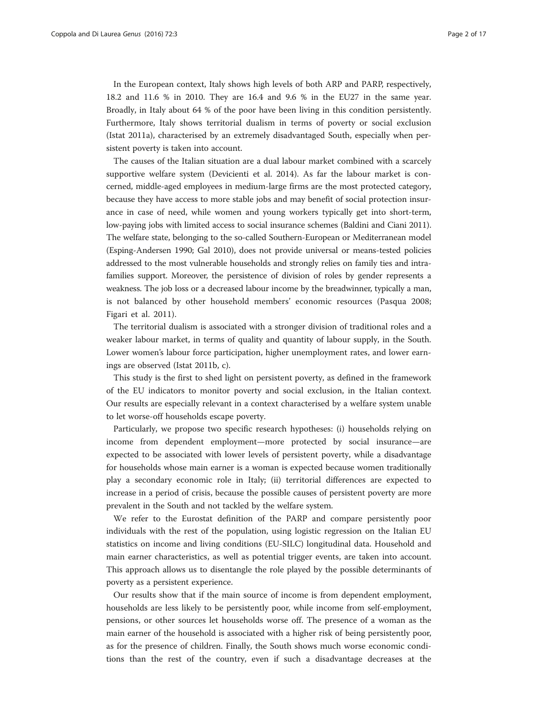In the European context, Italy shows high levels of both ARP and PARP, respectively, 18.2 and 11.6 % in 2010. They are 16.4 and 9.6 % in the EU27 in the same year. Broadly, in Italy about 64 % of the poor have been living in this condition persistently. Furthermore, Italy shows territorial dualism in terms of poverty or social exclusion (Istat [2011a](#page-16-0)), characterised by an extremely disadvantaged South, especially when persistent poverty is taken into account.

The causes of the Italian situation are a dual labour market combined with a scarcely supportive welfare system (Devicienti et al. [2014\)](#page-16-0). As far the labour market is concerned, middle-aged employees in medium-large firms are the most protected category, because they have access to more stable jobs and may benefit of social protection insurance in case of need, while women and young workers typically get into short-term, low-paying jobs with limited access to social insurance schemes (Baldini and Ciani [2011](#page-15-0)). The welfare state, belonging to the so-called Southern-European or Mediterranean model (Esping-Andersen [1990;](#page-16-0) Gal [2010\)](#page-16-0), does not provide universal or means-tested policies addressed to the most vulnerable households and strongly relies on family ties and intrafamilies support. Moreover, the persistence of division of roles by gender represents a weakness. The job loss or a decreased labour income by the breadwinner, typically a man, is not balanced by other household members' economic resources (Pasqua [2008](#page-16-0); Figari et al. [2011](#page-16-0)).

The territorial dualism is associated with a stronger division of traditional roles and a weaker labour market, in terms of quality and quantity of labour supply, in the South. Lower women's labour force participation, higher unemployment rates, and lower earnings are observed (Istat [2011b, c](#page-16-0)).

This study is the first to shed light on persistent poverty, as defined in the framework of the EU indicators to monitor poverty and social exclusion, in the Italian context. Our results are especially relevant in a context characterised by a welfare system unable to let worse-off households escape poverty.

Particularly, we propose two specific research hypotheses: (i) households relying on income from dependent employment—more protected by social insurance—are expected to be associated with lower levels of persistent poverty, while a disadvantage for households whose main earner is a woman is expected because women traditionally play a secondary economic role in Italy; (ii) territorial differences are expected to increase in a period of crisis, because the possible causes of persistent poverty are more prevalent in the South and not tackled by the welfare system.

We refer to the Eurostat definition of the PARP and compare persistently poor individuals with the rest of the population, using logistic regression on the Italian EU statistics on income and living conditions (EU-SILC) longitudinal data. Household and main earner characteristics, as well as potential trigger events, are taken into account. This approach allows us to disentangle the role played by the possible determinants of poverty as a persistent experience.

Our results show that if the main source of income is from dependent employment, households are less likely to be persistently poor, while income from self-employment, pensions, or other sources let households worse off. The presence of a woman as the main earner of the household is associated with a higher risk of being persistently poor, as for the presence of children. Finally, the South shows much worse economic conditions than the rest of the country, even if such a disadvantage decreases at the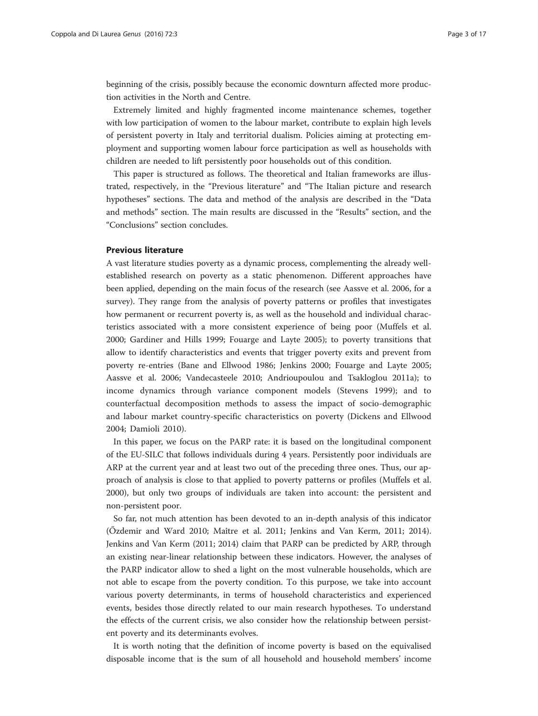beginning of the crisis, possibly because the economic downturn affected more production activities in the North and Centre.

Extremely limited and highly fragmented income maintenance schemes, together with low participation of women to the labour market, contribute to explain high levels of persistent poverty in Italy and territorial dualism. Policies aiming at protecting employment and supporting women labour force participation as well as households with children are needed to lift persistently poor households out of this condition.

This paper is structured as follows. The theoretical and Italian frameworks are illustrated, respectively, in the "Previous literature" and "[The Italian picture and research](#page-3-0) [hypotheses](#page-3-0)" sections. The data and method of the analysis are described in the "[Data](#page-6-0) [and methods](#page-6-0)" section. The main results are discussed in the "[Results](#page-8-0)" section, and the "[Conclusions](#page-13-0)" section concludes.

#### Previous literature

A vast literature studies poverty as a dynamic process, complementing the already wellestablished research on poverty as a static phenomenon. Different approaches have been applied, depending on the main focus of the research (see Aassve et al. [2006](#page-15-0), for a survey). They range from the analysis of poverty patterns or profiles that investigates how permanent or recurrent poverty is, as well as the household and individual characteristics associated with a more consistent experience of being poor (Muffels et al. [2000](#page-16-0); Gardiner and Hills [1999](#page-16-0); Fouarge and Layte [2005\)](#page-16-0); to poverty transitions that allow to identify characteristics and events that trigger poverty exits and prevent from poverty re-entries (Bane and Ellwood [1986;](#page-16-0) Jenkins [2000](#page-16-0); Fouarge and Layte [2005](#page-16-0); Aassve et al. [2006](#page-15-0); Vandecasteele [2010](#page-16-0); Andrioupoulou and Tsakloglou [2011a\)](#page-15-0); to income dynamics through variance component models (Stevens [1999\)](#page-16-0); and to counterfactual decomposition methods to assess the impact of socio-demographic and labour market country-specific characteristics on poverty (Dickens and Ellwood [2004;](#page-16-0) Damioli [2010\)](#page-16-0).

In this paper, we focus on the PARP rate: it is based on the longitudinal component of the EU-SILC that follows individuals during 4 years. Persistently poor individuals are ARP at the current year and at least two out of the preceding three ones. Thus, our approach of analysis is close to that applied to poverty patterns or profiles (Muffels et al. [2000](#page-16-0)), but only two groups of individuals are taken into account: the persistent and non-persistent poor.

So far, not much attention has been devoted to an in-depth analysis of this indicator (Őzdemir and Ward [2010](#page-16-0); Maître et al. [2011](#page-16-0); Jenkins and Van Kerm, [2011; 2014](#page-16-0)). Jenkins and Van Kerm ([2011](#page-16-0); [2014](#page-16-0)) claim that PARP can be predicted by ARP, through an existing near-linear relationship between these indicators. However, the analyses of the PARP indicator allow to shed a light on the most vulnerable households, which are not able to escape from the poverty condition. To this purpose, we take into account various poverty determinants, in terms of household characteristics and experienced events, besides those directly related to our main research hypotheses. To understand the effects of the current crisis, we also consider how the relationship between persistent poverty and its determinants evolves.

It is worth noting that the definition of income poverty is based on the equivalised disposable income that is the sum of all household and household members' income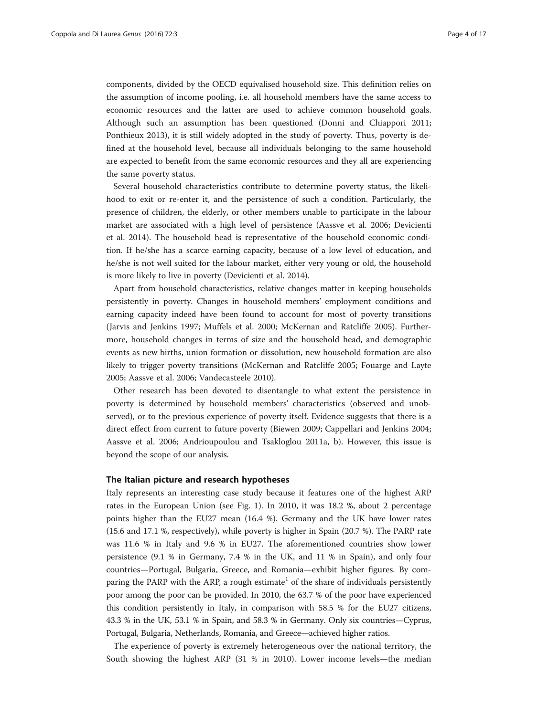<span id="page-3-0"></span>components, divided by the OECD equivalised household size. This definition relies on the assumption of income pooling, i.e. all household members have the same access to economic resources and the latter are used to achieve common household goals. Although such an assumption has been questioned (Donni and Chiappori [2011](#page-16-0); Ponthieux [2013](#page-16-0)), it is still widely adopted in the study of poverty. Thus, poverty is defined at the household level, because all individuals belonging to the same household are expected to benefit from the same economic resources and they all are experiencing the same poverty status.

Several household characteristics contribute to determine poverty status, the likelihood to exit or re-enter it, and the persistence of such a condition. Particularly, the presence of children, the elderly, or other members unable to participate in the labour market are associated with a high level of persistence (Aassve et al. [2006](#page-15-0); Devicienti et al. [2014\)](#page-16-0). The household head is representative of the household economic condition. If he/she has a scarce earning capacity, because of a low level of education, and he/she is not well suited for the labour market, either very young or old, the household is more likely to live in poverty (Devicienti et al. [2014\)](#page-16-0).

Apart from household characteristics, relative changes matter in keeping households persistently in poverty. Changes in household members' employment conditions and earning capacity indeed have been found to account for most of poverty transitions (Jarvis and Jenkins [1997;](#page-16-0) Muffels et al. [2000;](#page-16-0) McKernan and Ratcliffe [2005](#page-16-0)). Furthermore, household changes in terms of size and the household head, and demographic events as new births, union formation or dissolution, new household formation are also likely to trigger poverty transitions (McKernan and Ratcliffe [2005;](#page-16-0) Fouarge and Layte [2005](#page-16-0); Aassve et al. [2006](#page-15-0); Vandecasteele [2010](#page-16-0)).

Other research has been devoted to disentangle to what extent the persistence in poverty is determined by household members' characteristics (observed and unobserved), or to the previous experience of poverty itself. Evidence suggests that there is a direct effect from current to future poverty (Biewen [2009;](#page-16-0) Cappellari and Jenkins [2004](#page-16-0); Aassve et al. [2006;](#page-15-0) Andrioupoulou and Tsakloglou [2011a, b\)](#page-15-0). However, this issue is beyond the scope of our analysis.

#### The Italian picture and research hypotheses

Italy represents an interesting case study because it features one of the highest ARP rates in the European Union (see Fig. [1](#page-4-0)). In 2010, it was 18.2 %, about 2 percentage points higher than the EU27 mean (16.4 %). Germany and the UK have lower rates (15.6 and 17.1 %, respectively), while poverty is higher in Spain (20.7 %). The PARP rate was 11.6 % in Italy and 9.6 % in EU27. The aforementioned countries show lower persistence (9.1 % in Germany, 7.4 % in the UK, and 11 % in Spain), and only four countries—Portugal, Bulgaria, Greece, and Romania—exhibit higher figures. By comparing the PARP with the ARP, a rough estimate<sup>1</sup> of the share of individuals persistently poor among the poor can be provided. In 2010, the 63.7 % of the poor have experienced this condition persistently in Italy, in comparison with 58.5 % for the EU27 citizens, 43.3 % in the UK, 53.1 % in Spain, and 58.3 % in Germany. Only six countries—Cyprus, Portugal, Bulgaria, Netherlands, Romania, and Greece—achieved higher ratios.

The experience of poverty is extremely heterogeneous over the national territory, the South showing the highest ARP (31 % in 2010). Lower income levels—the median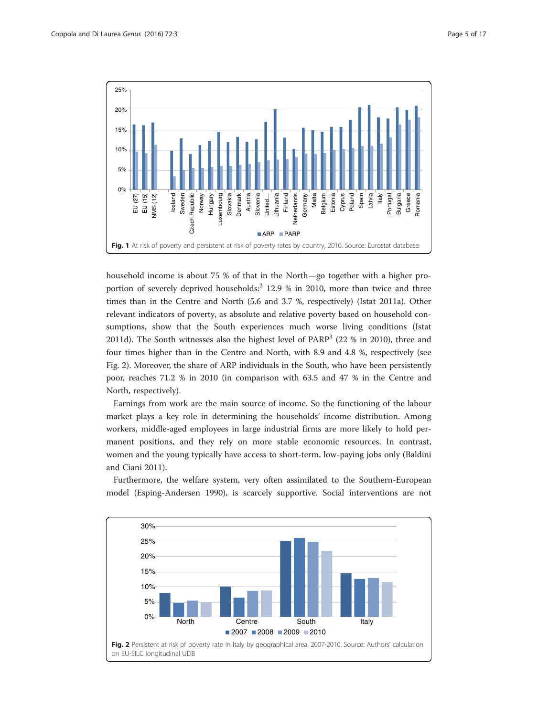<span id="page-4-0"></span>

household income is about 75 % of that in the North—go together with a higher proportion of severely deprived households: $2$  12.9 % in 2010, more than twice and three times than in the Centre and North (5.6 and 3.7 %, respectively) (Istat [2011a](#page-16-0)). Other relevant indicators of poverty, as absolute and relative poverty based on household consumptions, show that the South experiences much worse living conditions (Istat [2011d](#page-16-0)). The South witnesses also the highest level of  $PARP<sup>3</sup>$  (22 % in 2010), three and four times higher than in the Centre and North, with 8.9 and 4.8 %, respectively (see Fig. 2). Moreover, the share of ARP individuals in the South, who have been persistently poor, reaches 71.2 % in 2010 (in comparison with 63.5 and 47 % in the Centre and North, respectively).

Earnings from work are the main source of income. So the functioning of the labour market plays a key role in determining the households' income distribution. Among workers, middle-aged employees in large industrial firms are more likely to hold permanent positions, and they rely on more stable economic resources. In contrast, women and the young typically have access to short-term, low-paying jobs only (Baldini and Ciani [2011\)](#page-15-0).

Furthermore, the welfare system, very often assimilated to the Southern-European model (Esping-Andersen [1990\)](#page-16-0), is scarcely supportive. Social interventions are not

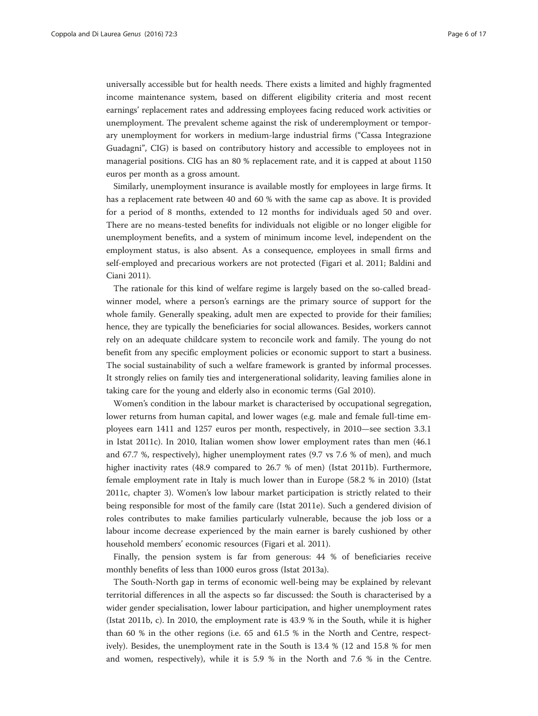universally accessible but for health needs. There exists a limited and highly fragmented income maintenance system, based on different eligibility criteria and most recent earnings' replacement rates and addressing employees facing reduced work activities or unemployment. The prevalent scheme against the risk of underemployment or temporary unemployment for workers in medium-large industrial firms ("Cassa Integrazione Guadagni", CIG) is based on contributory history and accessible to employees not in managerial positions. CIG has an 80 % replacement rate, and it is capped at about 1150 euros per month as a gross amount.

Similarly, unemployment insurance is available mostly for employees in large firms. It has a replacement rate between 40 and 60 % with the same cap as above. It is provided for a period of 8 months, extended to 12 months for individuals aged 50 and over. There are no means-tested benefits for individuals not eligible or no longer eligible for unemployment benefits, and a system of minimum income level, independent on the employment status, is also absent. As a consequence, employees in small firms and self-employed and precarious workers are not protected (Figari et al. [2011](#page-16-0); Baldini and Ciani [2011\)](#page-15-0).

The rationale for this kind of welfare regime is largely based on the so-called breadwinner model, where a person's earnings are the primary source of support for the whole family. Generally speaking, adult men are expected to provide for their families; hence, they are typically the beneficiaries for social allowances. Besides, workers cannot rely on an adequate childcare system to reconcile work and family. The young do not benefit from any specific employment policies or economic support to start a business. The social sustainability of such a welfare framework is granted by informal processes. It strongly relies on family ties and intergenerational solidarity, leaving families alone in taking care for the young and elderly also in economic terms (Gal [2010](#page-16-0)).

Women's condition in the labour market is characterised by occupational segregation, lower returns from human capital, and lower wages (e.g. male and female full-time employees earn 1411 and 1257 euros per month, respectively, in 2010—see section 3.3.1 in Istat [2011c\)](#page-16-0). In 2010, Italian women show lower employment rates than men (46.1 and 67.7 %, respectively), higher unemployment rates (9.7 vs 7.6 % of men), and much higher inactivity rates (48.9 compared to 26.7 % of men) (Istat [2011b\)](#page-16-0). Furthermore, female employment rate in Italy is much lower than in Europe (58.2 % in 2010) (Istat [2011c,](#page-16-0) chapter 3). Women's low labour market participation is strictly related to their being responsible for most of the family care (Istat [2011e\)](#page-16-0). Such a gendered division of roles contributes to make families particularly vulnerable, because the job loss or a labour income decrease experienced by the main earner is barely cushioned by other household members' economic resources (Figari et al. [2011\)](#page-16-0).

Finally, the pension system is far from generous: 44 % of beneficiaries receive monthly benefits of less than 1000 euros gross (Istat [2013a\)](#page-16-0).

The South-North gap in terms of economic well-being may be explained by relevant territorial differences in all the aspects so far discussed: the South is characterised by a wider gender specialisation, lower labour participation, and higher unemployment rates (Istat [2011b, c](#page-16-0)). In 2010, the employment rate is 43.9 % in the South, while it is higher than 60 % in the other regions (i.e. 65 and 61.5 % in the North and Centre, respectively). Besides, the unemployment rate in the South is 13.4 % (12 and 15.8 % for men and women, respectively), while it is 5.9 % in the North and 7.6 % in the Centre.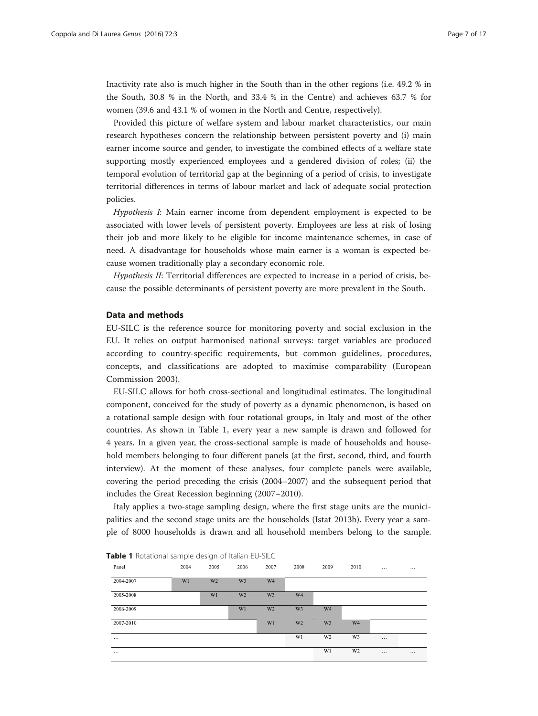<span id="page-6-0"></span>Inactivity rate also is much higher in the South than in the other regions (i.e. 49.2 % in the South, 30.8 % in the North, and 33.4 % in the Centre) and achieves 63.7 % for women (39.6 and 43.1 % of women in the North and Centre, respectively).

Provided this picture of welfare system and labour market characteristics, our main research hypotheses concern the relationship between persistent poverty and (i) main earner income source and gender, to investigate the combined effects of a welfare state supporting mostly experienced employees and a gendered division of roles; (ii) the temporal evolution of territorial gap at the beginning of a period of crisis, to investigate territorial differences in terms of labour market and lack of adequate social protection policies.

Hypothesis I: Main earner income from dependent employment is expected to be associated with lower levels of persistent poverty. Employees are less at risk of losing their job and more likely to be eligible for income maintenance schemes, in case of need. A disadvantage for households whose main earner is a woman is expected because women traditionally play a secondary economic role.

Hypothesis II: Territorial differences are expected to increase in a period of crisis, because the possible determinants of persistent poverty are more prevalent in the South.

#### Data and methods

EU-SILC is the reference source for monitoring poverty and social exclusion in the EU. It relies on output harmonised national surveys: target variables are produced according to country-specific requirements, but common guidelines, procedures, concepts, and classifications are adopted to maximise comparability (European Commission [2003\)](#page-16-0).

EU-SILC allows for both cross-sectional and longitudinal estimates. The longitudinal component, conceived for the study of poverty as a dynamic phenomenon, is based on a rotational sample design with four rotational groups, in Italy and most of the other countries. As shown in Table 1, every year a new sample is drawn and followed for 4 years. In a given year, the cross-sectional sample is made of households and household members belonging to four different panels (at the first, second, third, and fourth interview). At the moment of these analyses, four complete panels were available, covering the period preceding the crisis (2004–2007) and the subsequent period that includes the Great Recession beginning (2007–2010).

Italy applies a two-stage sampling design, where the first stage units are the municipalities and the second stage units are the households (Istat [2013b\)](#page-16-0). Every year a sample of 8000 households is drawn and all household members belong to the sample.



Table 1 Rotational sample design of Italian EU-SILC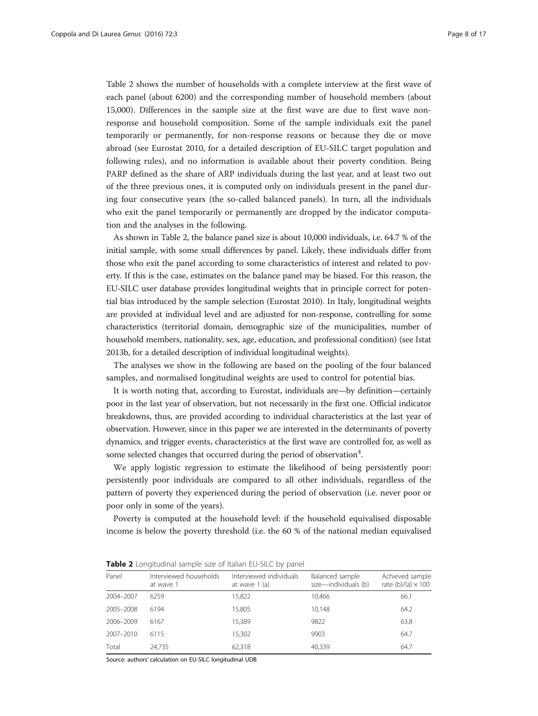Table 2 shows the number of households with a complete interview at the first wave of each panel (about 6200) and the corresponding number of household members (about 15,000). Differences in the sample size at the first wave are due to first wave nonresponse and household composition. Some of the sample individuals exit the panel temporarily or permanently, for non-response reasons or because they die or move abroad (see Eurostat [2010](#page-16-0), for a detailed description of EU-SILC target population and following rules), and no information is available about their poverty condition. Being PARP defined as the share of ARP individuals during the last year, and at least two out of the three previous ones, it is computed only on individuals present in the panel during four consecutive years (the so-called balanced panels). In turn, all the individuals who exit the panel temporarily or permanently are dropped by the indicator computation and the analyses in the following.

As shown in Table 2, the balance panel size is about 10,000 individuals, i.e. 64.7 % of the initial sample, with some small differences by panel. Likely, these individuals differ from those who exit the panel according to some characteristics of interest and related to poverty. If this is the case, estimates on the balance panel may be biased. For this reason, the EU-SILC user database provides longitudinal weights that in principle correct for potential bias introduced by the sample selection (Eurostat [2010](#page-16-0)). In Italy, longitudinal weights are provided at individual level and are adjusted for non-response, controlling for some characteristics (territorial domain, demographic size of the municipalities, number of household members, nationality, sex, age, education, and professional condition) (see Istat [2013b](#page-16-0), for a detailed description of individual longitudinal weights).

The analyses we show in the following are based on the pooling of the four balanced samples, and normalised longitudinal weights are used to control for potential bias.

It is worth noting that, according to Eurostat, individuals are—by definition—certainly poor in the last year of observation, but not necessarily in the first one. Official indicator breakdowns, thus, are provided according to individual characteristics at the last year of observation. However, since in this paper we are interested in the determinants of poverty dynamics, and trigger events, characteristics at the first wave are controlled for, as well as some selected changes that occurred during the period of observation<sup>4</sup>.

We apply logistic regression to estimate the likelihood of being persistently poor: persistently poor individuals are compared to all other individuals, regardless of the pattern of poverty they experienced during the period of observation (i.e. never poor or poor only in some of the years).

Poverty is computed at the household level: if the household equivalised disposable income is below the poverty threshold (i.e. the 60 % of the national median equivalised

| Panel     | Interviewed households<br>at wave 1 | Interviewed individuals<br>at wave 1 (a) | Balanced sample<br>size-individuals (b) | Achieved sample<br>rate $(b)/(a) \times 100$ |  |  |
|-----------|-------------------------------------|------------------------------------------|-----------------------------------------|----------------------------------------------|--|--|
| 2004-2007 | 6259                                | 15,822                                   | 10.466                                  | 66.1                                         |  |  |
| 2005-2008 | 6194                                | 15,805                                   | 10,148                                  | 64.2                                         |  |  |
| 2006-2009 | 6167                                | 15.389                                   | 9822                                    | 63.8                                         |  |  |
| 2007-2010 | 6115                                | 15,302                                   | 9903                                    | 64.7                                         |  |  |
| Total     | 24,735                              | 62.318                                   | 40.339                                  | 64.7                                         |  |  |

Table 2 Longitudinal sample size of Italian EU-SILC by panel

Source: authors' calculation on EU-SILC longitudinal UDB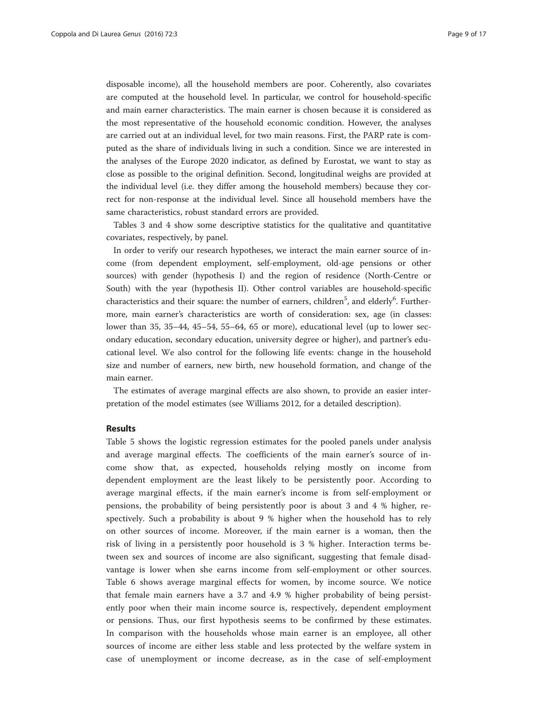<span id="page-8-0"></span>disposable income), all the household members are poor. Coherently, also covariates are computed at the household level. In particular, we control for household-specific and main earner characteristics. The main earner is chosen because it is considered as the most representative of the household economic condition. However, the analyses are carried out at an individual level, for two main reasons. First, the PARP rate is computed as the share of individuals living in such a condition. Since we are interested in the analyses of the Europe 2020 indicator, as defined by Eurostat, we want to stay as close as possible to the original definition. Second, longitudinal weighs are provided at the individual level (i.e. they differ among the household members) because they correct for non-response at the individual level. Since all household members have the same characteristics, robust standard errors are provided.

Tables [3](#page-9-0) and [4](#page-10-0) show some descriptive statistics for the qualitative and quantitative covariates, respectively, by panel.

In order to verify our research hypotheses, we interact the main earner source of income (from dependent employment, self-employment, old-age pensions or other sources) with gender (hypothesis I) and the region of residence (North-Centre or South) with the year (hypothesis II). Other control variables are household-specific characteristics and their square: the number of earners, children<sup>5</sup>, and elderly<sup>6</sup>. Furthermore, main earner's characteristics are worth of consideration: sex, age (in classes: lower than 35, 35–44, 45–54, 55–64, 65 or more), educational level (up to lower secondary education, secondary education, university degree or higher), and partner's educational level. We also control for the following life events: change in the household size and number of earners, new birth, new household formation, and change of the main earner.

The estimates of average marginal effects are also shown, to provide an easier interpretation of the model estimates (see Williams [2012](#page-16-0), for a detailed description).

#### Results

Table [5](#page-11-0) shows the logistic regression estimates for the pooled panels under analysis and average marginal effects. The coefficients of the main earner's source of income show that, as expected, households relying mostly on income from dependent employment are the least likely to be persistently poor. According to average marginal effects, if the main earner's income is from self-employment or pensions, the probability of being persistently poor is about 3 and 4 % higher, respectively. Such a probability is about 9 % higher when the household has to rely on other sources of income. Moreover, if the main earner is a woman, then the risk of living in a persistently poor household is 3 % higher. Interaction terms between sex and sources of income are also significant, suggesting that female disadvantage is lower when she earns income from self-employment or other sources. Table [6](#page-12-0) shows average marginal effects for women, by income source. We notice that female main earners have a 3.7 and 4.9 % higher probability of being persistently poor when their main income source is, respectively, dependent employment or pensions. Thus, our first hypothesis seems to be confirmed by these estimates. In comparison with the households whose main earner is an employee, all other sources of income are either less stable and less protected by the welfare system in case of unemployment or income decrease, as in the case of self-employment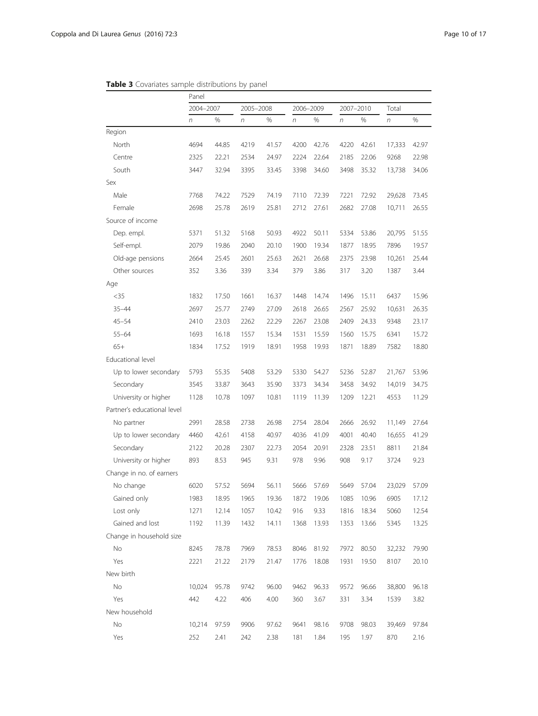|                             | Panel     |       |           |       |           |       |           |       |        |       |
|-----------------------------|-----------|-------|-----------|-------|-----------|-------|-----------|-------|--------|-------|
|                             | 2004-2007 |       | 2005-2008 |       | 2006-2009 |       | 2007-2010 |       | Total  |       |
|                             | $\eta$    | %     | $\eta$    | %     | $\eta$    | %     | n         | %     | n      | %     |
| Region                      |           |       |           |       |           |       |           |       |        |       |
| North                       | 4694      | 44.85 | 4219      | 41.57 | 4200      | 42.76 | 4220      | 42.61 | 17,333 | 42.97 |
| Centre                      | 2325      | 22.21 | 2534      | 24.97 | 2224      | 22.64 | 2185      | 22.06 | 9268   | 22.98 |
| South                       | 3447      | 32.94 | 3395      | 33.45 | 3398      | 34.60 | 3498      | 35.32 | 13,738 | 34.06 |
| Sex                         |           |       |           |       |           |       |           |       |        |       |
| Male                        | 7768      | 74.22 | 7529      | 74.19 | 7110      | 72.39 | 7221      | 72.92 | 29,628 | 73.45 |
| Female                      | 2698      | 25.78 | 2619      | 25.81 | 2712      | 27.61 | 2682      | 27.08 | 10,711 | 26.55 |
| Source of income            |           |       |           |       |           |       |           |       |        |       |
| Dep. empl.                  | 5371      | 51.32 | 5168      | 50.93 | 4922      | 50.11 | 5334      | 53.86 | 20,795 | 51.55 |
| Self-empl.                  | 2079      | 19.86 | 2040      | 20.10 | 1900      | 19.34 | 1877      | 18.95 | 7896   | 19.57 |
| Old-age pensions            | 2664      | 25.45 | 2601      | 25.63 | 2621      | 26.68 | 2375      | 23.98 | 10,261 | 25.44 |
| Other sources               | 352       | 3.36  | 339       | 3.34  | 379       | 3.86  | 317       | 3.20  | 1387   | 3.44  |
| Age                         |           |       |           |       |           |       |           |       |        |       |
| $<$ 35                      | 1832      | 17.50 | 1661      | 16.37 | 1448      | 14.74 | 1496      | 15.11 | 6437   | 15.96 |
| $35 - 44$                   | 2697      | 25.77 | 2749      | 27.09 | 2618      | 26.65 | 2567      | 25.92 | 10,631 | 26.35 |
| $45 - 54$                   | 2410      | 23.03 | 2262      | 22.29 | 2267      | 23.08 | 2409      | 24.33 | 9348   | 23.17 |
| $55 - 64$                   | 1693      | 16.18 | 1557      | 15.34 | 1531      | 15.59 | 1560      | 15.75 | 6341   | 15.72 |
| $65+$                       | 1834      | 17.52 | 1919      | 18.91 | 1958      | 19.93 | 1871      | 18.89 | 7582   | 18.80 |
| Educational level           |           |       |           |       |           |       |           |       |        |       |
| Up to lower secondary       | 5793      | 55.35 | 5408      | 53.29 | 5330      | 54.27 | 5236      | 52.87 | 21,767 | 53.96 |
| Secondary                   | 3545      | 33.87 | 3643      | 35.90 | 3373      | 34.34 | 3458      | 34.92 | 14,019 | 34.75 |
| University or higher        | 1128      | 10.78 | 1097      | 10.81 | 1119      | 11.39 | 1209      | 12.21 | 4553   | 11.29 |
| Partner's educational level |           |       |           |       |           |       |           |       |        |       |
| No partner                  | 2991      | 28.58 | 2738      | 26.98 | 2754      | 28.04 | 2666      | 26.92 | 11,149 | 27.64 |
| Up to lower secondary       | 4460      | 42.61 | 4158      | 40.97 | 4036      | 41.09 | 4001      | 40.40 | 16,655 | 41.29 |
| Secondary                   | 2122      | 20.28 | 2307      | 22.73 | 2054      | 20.91 | 2328      | 23.51 | 8811   | 21.84 |
| University or higher        | 893       | 8.53  | 945       | 9.31  | 978       | 9.96  | 908       | 9.17  | 3724   | 9.23  |
| Change in no. of earners    |           |       |           |       |           |       |           |       |        |       |
| No change                   | 6020      | 57.52 | 5694      | 56.11 | 5666      | 57.69 | 5649      | 57.04 | 23,029 | 57.09 |
| Gained only                 | 1983      | 18.95 | 1965      | 19.36 | 1872      | 19.06 | 1085      | 10.96 | 6905   | 17.12 |
| Lost only                   | 1271      | 12.14 | 1057      | 10.42 | 916       | 9.33  | 1816      | 18.34 | 5060   | 12.54 |
| Gained and lost             | 1192      | 11.39 | 1432      | 14.11 | 1368      | 13.93 | 1353      | 13.66 | 5345   | 13.25 |
| Change in household size    |           |       |           |       |           |       |           |       |        |       |
| No                          | 8245      | 78.78 | 7969      | 78.53 | 8046      | 81.92 | 7972      | 80.50 | 32,232 | 79.90 |
| Yes                         | 2221      | 21.22 | 2179      | 21.47 | 1776      | 18.08 | 1931      | 19.50 | 8107   | 20.10 |
| New birth                   |           |       |           |       |           |       |           |       |        |       |
| No                          | 10,024    | 95.78 | 9742      | 96.00 | 9462      | 96.33 | 9572      | 96.66 | 38,800 | 96.18 |
| Yes                         | 442       | 4.22  | 406       | 4.00  | 360       | 3.67  | 331       | 3.34  | 1539   | 3.82  |
| New household               |           |       |           |       |           |       |           |       |        |       |
| No                          | 10,214    | 97.59 | 9906      | 97.62 | 9641      | 98.16 | 9708      | 98.03 | 39,469 | 97.84 |
| Yes                         | 252       | 2.41  | 242       | 2.38  | 181       | 1.84  | 195       | 1.97  | 870    | 2.16  |

<span id="page-9-0"></span>Table 3 Covariates sample distributions by panel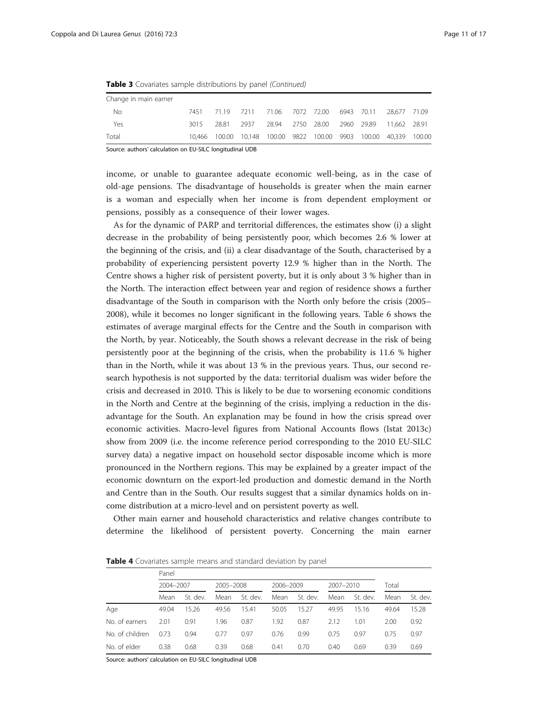<span id="page-10-0"></span>Table 3 Covariates sample distributions by panel (Continued)

| Change in main earner |      |  |  |                                                                   |  |  |
|-----------------------|------|--|--|-------------------------------------------------------------------|--|--|
| No                    | 7451 |  |  | 71.19  7211  71.06  7072  72.00  6943  70.11  28,677  71.09       |  |  |
| Yes                   | 3015 |  |  | 28.81 2937 28.94 2750 28.00 2960 29.89 11,662 28.91               |  |  |
| Total                 |      |  |  | 10,466 100.00 10,148 100.00 9822 100.00 9903 100.00 40,339 100.00 |  |  |

Source: authors' calculation on EU-SILC longitudinal UDB

income, or unable to guarantee adequate economic well-being, as in the case of old-age pensions. The disadvantage of households is greater when the main earner is a woman and especially when her income is from dependent employment or pensions, possibly as a consequence of their lower wages.

As for the dynamic of PARP and territorial differences, the estimates show (i) a slight decrease in the probability of being persistently poor, which becomes 2.6 % lower at the beginning of the crisis, and (ii) a clear disadvantage of the South, characterised by a probability of experiencing persistent poverty 12.9 % higher than in the North. The Centre shows a higher risk of persistent poverty, but it is only about 3 % higher than in the North. The interaction effect between year and region of residence shows a further disadvantage of the South in comparison with the North only before the crisis (2005– 2008), while it becomes no longer significant in the following years. Table [6](#page-12-0) shows the estimates of average marginal effects for the Centre and the South in comparison with the North, by year. Noticeably, the South shows a relevant decrease in the risk of being persistently poor at the beginning of the crisis, when the probability is 11.6 % higher than in the North, while it was about 13 % in the previous years. Thus, our second research hypothesis is not supported by the data: territorial dualism was wider before the crisis and decreased in 2010. This is likely to be due to worsening economic conditions in the North and Centre at the beginning of the crisis, implying a reduction in the disadvantage for the South. An explanation may be found in how the crisis spread over economic activities. Macro-level figures from National Accounts flows (Istat [2013c\)](#page-16-0) show from 2009 (i.e. the income reference period corresponding to the 2010 EU-SILC survey data) a negative impact on household sector disposable income which is more pronounced in the Northern regions. This may be explained by a greater impact of the economic downturn on the export-led production and domestic demand in the North and Centre than in the South. Our results suggest that a similar dynamics holds on income distribution at a micro-level and on persistent poverty as well.

Other main earner and household characteristics and relative changes contribute to determine the likelihood of persistent poverty. Concerning the main earner

Table 4 Covariates sample means and standard deviation by panel

|                 | Panel     |          |           |          |           |          |           |          |       |          |
|-----------------|-----------|----------|-----------|----------|-----------|----------|-----------|----------|-------|----------|
|                 | 2004-2007 |          | 2005-2008 |          | 2006-2009 |          | 2007-2010 |          | Total |          |
|                 | Mean      | St. dev. | Mean      | St. dev. | Mean      | St. dev. | Mean      | St. dev. | Mean  | St. dev. |
| Age             | 49.04     | 15.26    | 49.56     | 15.41    | 50.05     | 15.27    | 49.95     | 15.16    | 49.64 | 15.28    |
| No. of earners  | 2.01      | 0.91     | 1.96      | 0.87     | 1.92      | 0.87     | 2.12      | 1.01     | 2.00  | 0.92     |
| No. of children | 0.73      | 0.94     | 0.77      | 0.97     | 0.76      | 0.99     | 0.75      | 0.97     | 0.75  | 0.97     |
| No. of elder    | 0.38      | 0.68     | 0.39      | 0.68     | 0.41      | 0.70     | 0.40      | 0.69     | 0.39  | 0.69     |

Source: authors' calculation on EU-SILC longitudinal UDB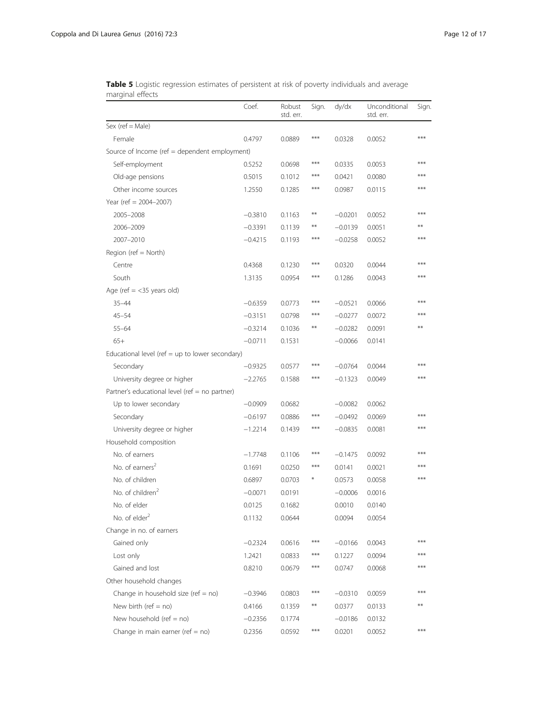<span id="page-11-0"></span>

| <b>Table 5</b> Logistic regression estimates of persistent at risk of poverty individuals and average |  |  |  |  |  |  |
|-------------------------------------------------------------------------------------------------------|--|--|--|--|--|--|
| marginal effects                                                                                      |  |  |  |  |  |  |

|                                                 | Coef.     | Robust<br>std. err. | Sign. | dy/dx     | Unconditional<br>std. err. | Sign. |
|-------------------------------------------------|-----------|---------------------|-------|-----------|----------------------------|-------|
| Sex (ref = Male)                                |           |                     |       |           |                            |       |
| Female                                          | 0.4797    | 0.0889              | $***$ | 0.0328    | 0.0052                     | ***   |
| Source of Income (ref = dependent employment)   |           |                     |       |           |                            |       |
| Self-employment                                 | 0.5252    | 0.0698              | $***$ | 0.0335    | 0.0053                     | ***   |
| Old-age pensions                                | 0.5015    | 0.1012              | ***   | 0.0421    | 0.0080                     | ***   |
| Other income sources                            | 1.2550    | 0.1285              | $***$ | 0.0987    | 0.0115                     | $***$ |
| Year (ref = $2004 - 2007$ )                     |           |                     |       |           |                            |       |
| 2005-2008                                       | $-0.3810$ | 0.1163              | $***$ | $-0.0201$ | 0.0052                     | $***$ |
| 2006-2009                                       | $-0.3391$ | 0.1139              | $**$  | $-0.0139$ | 0.0051                     | **    |
| 2007-2010                                       | $-0.4215$ | 0.1193              | $***$ | $-0.0258$ | 0.0052                     | ***   |
| Region (ref $=$ North)                          |           |                     |       |           |                            |       |
| Centre                                          | 0.4368    | 0.1230              | $***$ | 0.0320    | 0.0044                     | $***$ |
| South                                           | 1.3135    | 0.0954              | ***   | 0.1286    | 0.0043                     | ***   |
| Age (ref $=$ <35 years old)                     |           |                     |       |           |                            |       |
| $35 - 44$                                       | $-0.6359$ | 0.0773              | $***$ | $-0.0521$ | 0.0066                     | $***$ |
| $45 - 54$                                       | $-0.3151$ | 0.0798              | $***$ | $-0.0277$ | 0.0072                     | ***   |
| $55 - 64$                                       | $-0.3214$ | 0.1036              | **    | $-0.0282$ | 0.0091                     | $**$  |
| $65+$                                           | $-0.0711$ | 0.1531              |       | $-0.0066$ | 0.0141                     |       |
| Educational level (ref = up to lower secondary) |           |                     |       |           |                            |       |
| Secondary                                       | $-0.9325$ | 0.0577              | $***$ | $-0.0764$ | 0.0044                     | ***   |
| University degree or higher                     | $-2.2765$ | 0.1588              | ***   | $-0.1323$ | 0.0049                     | ***   |
| Partner's educational level (ref = no partner)  |           |                     |       |           |                            |       |
| Up to lower secondary                           | $-0.0909$ | 0.0682              |       | $-0.0082$ | 0.0062                     |       |
| Secondary                                       | $-0.6197$ | 0.0886              | $***$ | $-0.0492$ | 0.0069                     | ***   |
| University degree or higher                     | $-1.2214$ | 0.1439              | ***   | $-0.0835$ | 0.0081                     | ***   |
| Household composition                           |           |                     |       |           |                            |       |
| No. of earners                                  | $-1.7748$ | 0.1106              | ***   | $-0.1475$ | 0.0092                     | ***   |
| No. of earners <sup>2</sup>                     | 0.1691    | 0.0250              | ***   | 0.0141    | 0.0021                     | ***   |
| No. of children                                 | 0.6897    | 0.0703              | ⋇     | 0.0573    | 0.0058                     | ***   |
| No. of children <sup>2</sup>                    | $-0.0071$ | 0.0191              |       | $-0.0006$ | 0.0016                     |       |
| No. of elder                                    | 0.0125    | 0.1682              |       | 0.0010    | 0.0140                     |       |
| No. of elder <sup>2</sup>                       | 0.1132    | 0.0644              |       | 0.0094    | 0.0054                     |       |
| Change in no. of earners                        |           |                     |       |           |                            |       |
| Gained only                                     | $-0.2324$ | 0.0616              | $***$ | $-0.0166$ | 0.0043                     | ***   |
| Lost only                                       | 1.2421    | 0.0833              | ***   | 0.1227    | 0.0094                     | ***   |
| Gained and lost                                 | 0.8210    | 0.0679              | $***$ | 0.0747    | 0.0068                     | ***   |
| Other household changes                         |           |                     |       |           |                            |       |
| Change in household size (ref = $no$ )          | $-0.3946$ | 0.0803              | ***   | $-0.0310$ | 0.0059                     | ***   |
| New birth (ref = $no$ )                         | 0.4166    | 0.1359              | **    | 0.0377    | 0.0133                     | **    |
| New household (ref = $no$ )                     | $-0.2356$ | 0.1774              |       | $-0.0186$ | 0.0132                     |       |
| Change in main earner (ref = $no$ )             | 0.2356    | 0.0592              | $***$ | 0.0201    | 0.0052                     | ***   |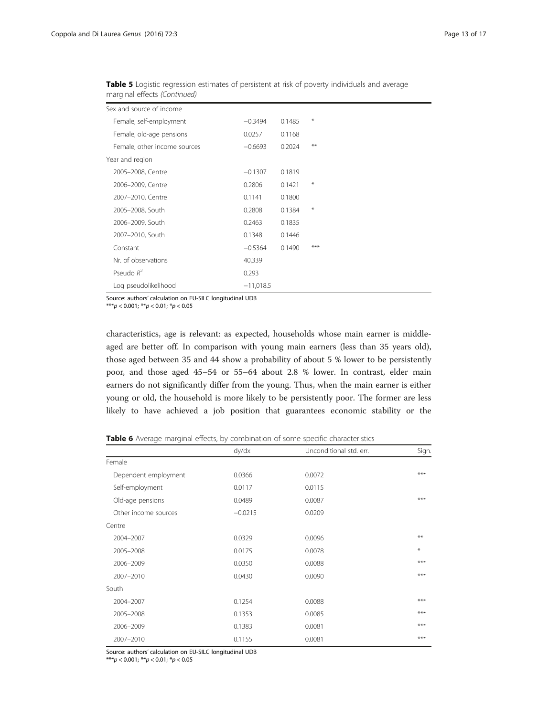| Sex and source of income     |             |        |        |
|------------------------------|-------------|--------|--------|
| Female, self-employment      | $-0.3494$   | 0.1485 | $\ast$ |
| Female, old-age pensions     | 0.0257      | 0.1168 |        |
| Female, other income sources | $-0.6693$   | 0.2024 | $**$   |
| Year and region              |             |        |        |
| 2005-2008, Centre            | $-0.1307$   | 0.1819 |        |
| 2006-2009, Centre            | 0.2806      | 0.1421 | ⋇      |
| 2007-2010, Centre            | 0.1141      | 0.1800 |        |
| 2005-2008, South             | 0.2808      | 0.1384 | $\ast$ |
| 2006-2009, South             | 0.2463      | 0.1835 |        |
| 2007-2010, South             | 0.1348      | 0.1446 |        |
| Constant                     | $-0.5364$   | 0.1490 | $***$  |
| Nr. of observations          | 40,339      |        |        |
| Pseudo $R^2$                 | 0.293       |        |        |
| Log pseudolikelihood         | $-11,018.5$ |        |        |

<span id="page-12-0"></span>Table 5 Logistic regression estimates of persistent at risk of poverty individuals and average marginal effects (Continued)

Source: authors' calculation on EU-SILC longitudinal UDB

\*\*\* $p < 0.001$ ; \*\* $p < 0.01$ ; \* $p < 0.05$ 

characteristics, age is relevant: as expected, households whose main earner is middleaged are better off. In comparison with young main earners (less than 35 years old), those aged between 35 and 44 show a probability of about 5 % lower to be persistently poor, and those aged 45–54 or 55–64 about 2.8 % lower. In contrast, elder main earners do not significantly differ from the young. Thus, when the main earner is either young or old, the household is more likely to be persistently poor. The former are less likely to have achieved a job position that guarantees economic stability or the

Table 6 Average marginal effects, by combination of some specific characteristics

|                      | dy/dx     | Unconditional std. err. | Sign.  |
|----------------------|-----------|-------------------------|--------|
|                      |           |                         |        |
| Female               |           |                         |        |
| Dependent employment | 0.0366    | 0.0072                  | ***    |
| Self-employment      | 0.0117    | 0.0115                  |        |
| Old-age pensions     | 0.0489    | 0.0087                  | ***    |
| Other income sources | $-0.0215$ | 0.0209                  |        |
| Centre               |           |                         |        |
| 2004-2007            | 0.0329    | 0.0096                  | **     |
| 2005-2008            | 0.0175    | 0.0078                  | $\ast$ |
| 2006-2009            | 0.0350    | 0.0088                  | ***    |
| 2007-2010            | 0.0430    | 0.0090                  | ***    |
| South                |           |                         |        |
| 2004-2007            | 0.1254    | 0.0088                  | ***    |
| 2005-2008            | 0.1353    | 0.0085                  | ***    |
| 2006-2009            | 0.1383    | 0.0081                  | ***    |
| 2007-2010            | 0.1155    | 0.0081                  | ***    |

Source: authors' calculation on EU-SILC longitudinal UDB

 $***p<0.001;$   $**p<0.01;$   $*_{P}<0.05$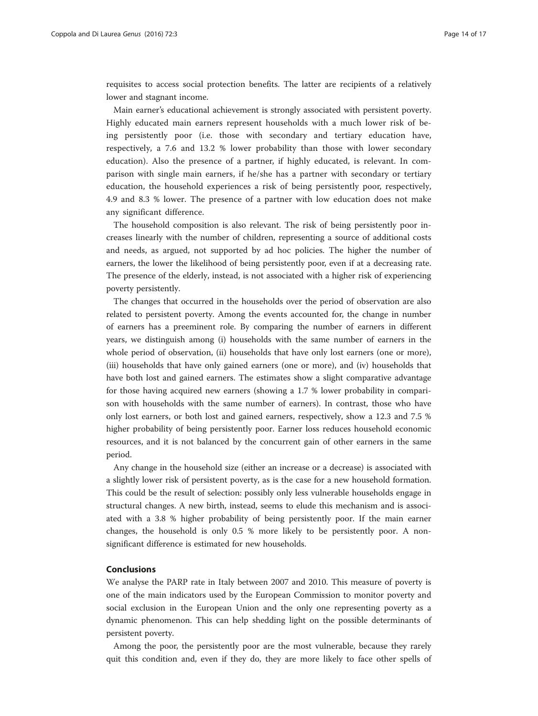<span id="page-13-0"></span>requisites to access social protection benefits. The latter are recipients of a relatively lower and stagnant income.

Main earner's educational achievement is strongly associated with persistent poverty. Highly educated main earners represent households with a much lower risk of being persistently poor (i.e. those with secondary and tertiary education have, respectively, a 7.6 and 13.2 % lower probability than those with lower secondary education). Also the presence of a partner, if highly educated, is relevant. In comparison with single main earners, if he/she has a partner with secondary or tertiary education, the household experiences a risk of being persistently poor, respectively, 4.9 and 8.3 % lower. The presence of a partner with low education does not make any significant difference.

The household composition is also relevant. The risk of being persistently poor increases linearly with the number of children, representing a source of additional costs and needs, as argued, not supported by ad hoc policies. The higher the number of earners, the lower the likelihood of being persistently poor, even if at a decreasing rate. The presence of the elderly, instead, is not associated with a higher risk of experiencing poverty persistently.

The changes that occurred in the households over the period of observation are also related to persistent poverty. Among the events accounted for, the change in number of earners has a preeminent role. By comparing the number of earners in different years, we distinguish among (i) households with the same number of earners in the whole period of observation, (ii) households that have only lost earners (one or more), (iii) households that have only gained earners (one or more), and (iv) households that have both lost and gained earners. The estimates show a slight comparative advantage for those having acquired new earners (showing a 1.7 % lower probability in comparison with households with the same number of earners). In contrast, those who have only lost earners, or both lost and gained earners, respectively, show a 12.3 and 7.5 % higher probability of being persistently poor. Earner loss reduces household economic resources, and it is not balanced by the concurrent gain of other earners in the same period.

Any change in the household size (either an increase or a decrease) is associated with a slightly lower risk of persistent poverty, as is the case for a new household formation. This could be the result of selection: possibly only less vulnerable households engage in structural changes. A new birth, instead, seems to elude this mechanism and is associated with a 3.8 % higher probability of being persistently poor. If the main earner changes, the household is only 0.5 % more likely to be persistently poor. A nonsignificant difference is estimated for new households.

#### Conclusions

We analyse the PARP rate in Italy between 2007 and 2010. This measure of poverty is one of the main indicators used by the European Commission to monitor poverty and social exclusion in the European Union and the only one representing poverty as a dynamic phenomenon. This can help shedding light on the possible determinants of persistent poverty.

Among the poor, the persistently poor are the most vulnerable, because they rarely quit this condition and, even if they do, they are more likely to face other spells of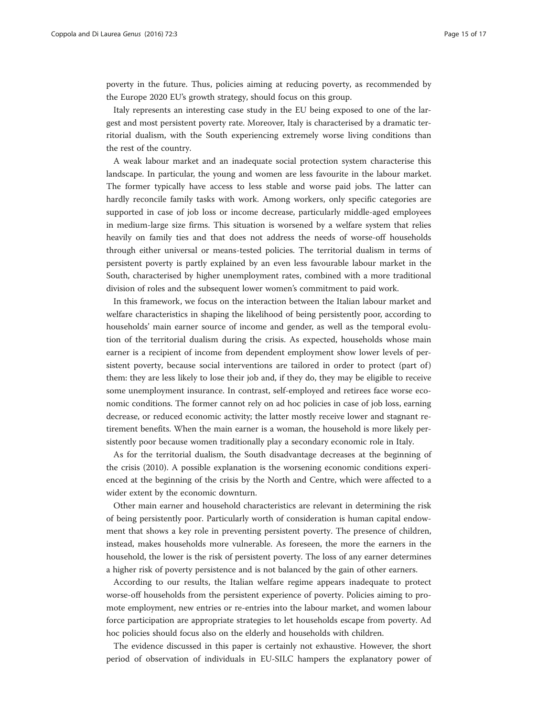poverty in the future. Thus, policies aiming at reducing poverty, as recommended by the Europe 2020 EU's growth strategy, should focus on this group.

Italy represents an interesting case study in the EU being exposed to one of the largest and most persistent poverty rate. Moreover, Italy is characterised by a dramatic territorial dualism, with the South experiencing extremely worse living conditions than the rest of the country.

A weak labour market and an inadequate social protection system characterise this landscape. In particular, the young and women are less favourite in the labour market. The former typically have access to less stable and worse paid jobs. The latter can hardly reconcile family tasks with work. Among workers, only specific categories are supported in case of job loss or income decrease, particularly middle-aged employees in medium-large size firms. This situation is worsened by a welfare system that relies heavily on family ties and that does not address the needs of worse-off households through either universal or means-tested policies. The territorial dualism in terms of persistent poverty is partly explained by an even less favourable labour market in the South, characterised by higher unemployment rates, combined with a more traditional division of roles and the subsequent lower women's commitment to paid work.

In this framework, we focus on the interaction between the Italian labour market and welfare characteristics in shaping the likelihood of being persistently poor, according to households' main earner source of income and gender, as well as the temporal evolution of the territorial dualism during the crisis. As expected, households whose main earner is a recipient of income from dependent employment show lower levels of persistent poverty, because social interventions are tailored in order to protect (part of) them: they are less likely to lose their job and, if they do, they may be eligible to receive some unemployment insurance. In contrast, self-employed and retirees face worse economic conditions. The former cannot rely on ad hoc policies in case of job loss, earning decrease, or reduced economic activity; the latter mostly receive lower and stagnant retirement benefits. When the main earner is a woman, the household is more likely persistently poor because women traditionally play a secondary economic role in Italy.

As for the territorial dualism, the South disadvantage decreases at the beginning of the crisis (2010). A possible explanation is the worsening economic conditions experienced at the beginning of the crisis by the North and Centre, which were affected to a wider extent by the economic downturn.

Other main earner and household characteristics are relevant in determining the risk of being persistently poor. Particularly worth of consideration is human capital endowment that shows a key role in preventing persistent poverty. The presence of children, instead, makes households more vulnerable. As foreseen, the more the earners in the household, the lower is the risk of persistent poverty. The loss of any earner determines a higher risk of poverty persistence and is not balanced by the gain of other earners.

According to our results, the Italian welfare regime appears inadequate to protect worse-off households from the persistent experience of poverty. Policies aiming to promote employment, new entries or re-entries into the labour market, and women labour force participation are appropriate strategies to let households escape from poverty. Ad hoc policies should focus also on the elderly and households with children.

The evidence discussed in this paper is certainly not exhaustive. However, the short period of observation of individuals in EU-SILC hampers the explanatory power of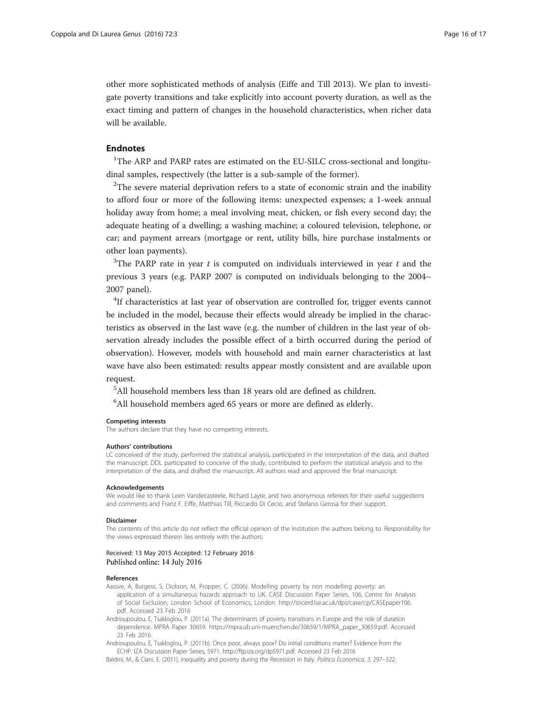<span id="page-15-0"></span>other more sophisticated methods of analysis (Eiffe and Till [2013\)](#page-16-0). We plan to investigate poverty transitions and take explicitly into account poverty duration, as well as the exact timing and pattern of changes in the household characteristics, when richer data will be available.

#### Endnotes

<sup>1</sup>The ARP and PARP rates are estimated on the EU-SILC cross-sectional and longitudinal samples, respectively (the latter is a sub-sample of the former).

 $2$ The severe material deprivation refers to a state of economic strain and the inability to afford four or more of the following items: unexpected expenses; a 1-week annual holiday away from home; a meal involving meat, chicken, or fish every second day; the adequate heating of a dwelling; a washing machine; a coloured television, telephone, or car; and payment arrears (mortgage or rent, utility bills, hire purchase instalments or other loan payments).

<sup>3</sup>The PARP rate in year  $t$  is computed on individuals interviewed in year  $t$  and the previous 3 years (e.g. PARP 2007 is computed on individuals belonging to the 2004– 2007 panel).

<sup>4</sup>If characteristics at last year of observation are controlled for, trigger events cannot be included in the model, because their effects would already be implied in the characteristics as observed in the last wave (e.g. the number of children in the last year of observation already includes the possible effect of a birth occurred during the period of observation). However, models with household and main earner characteristics at last wave have also been estimated: results appear mostly consistent and are available upon request.

5 All household members less than 18 years old are defined as children.

<sup>6</sup>All household members aged 65 years or more are defined as elderly.

#### Competing interests

The authors declare that they have no competing interests.

#### Authors' contributions

LC conceived of the study, performed the statistical analysis, participated in the interpretation of the data, and drafted the manuscript. DDL participated to conceive of the study, contributed to perform the statistical analysis and to the interpretation of the data, and drafted the manuscript. All authors read and approved the final manuscript.

#### Acknowledgements

We would like to thank Leen Vandecasteele, Richard Layte, and two anonymous referees for their useful suggestions and comments and Franz F. Eiffe, Matthias Till, Riccardo Di Cecio, and Stefano Gerosa for their support.

#### Disclaimer

The contents of this article do not reflect the official opinion of the Institution the authors belong to. Responsibility for the views expressed therein lies entirely with the authors.

#### Received: 13 May 2015 Accepted: 12 February 2016 Published online: 14 July 2016

#### References

- Aassve, A, Burgess, S, Dickson, M, Propper, C. (2006). Modelling poverty by non modelling poverty: an application of a simultaneous hazards approach to UK. CASE Discussion Paper Series, 106, Centre for Analysis of Social Exclusion, London School of Economics, London. [http://sticerd.lse.ac.uk/dps/case/cp/CASEpaper106.](http://sticerd.lse.ac.uk/dps/case/cp/CASEpaper106.pdf) [pdf](http://sticerd.lse.ac.uk/dps/case/cp/CASEpaper106.pdf). Accessed 23 Feb 2016
- Andrioupoulou, E, Tsakloglou, P. (2011a). The determinants of poverty transitions in Europe and the role of duration dependence. MPRA Paper 30659. [https://mpra.ub.uni-muenchen.de/30659/1/MPRA\\_paper\\_30659.pdf.](https://mpra.ub.uni-muenchen.de/30659/1/MPRA_paper_30659.pdf) Accessed 23 Feb 2016

Andrioupoulou, E, Tsakloglou, P. (2011b). Once poor, always poor? Do initial conditions matter? Evidence from the ECHP. IZA Discussion Paper Series, 5971.<http://ftp.iza.org/dp5971.pdf>. Accessed 23 Feb 2016

Baldini, M., & Ciani, E. (2011). Inequality and poverty during the Recession in Italy. Politica Economica, 3, 297–322.